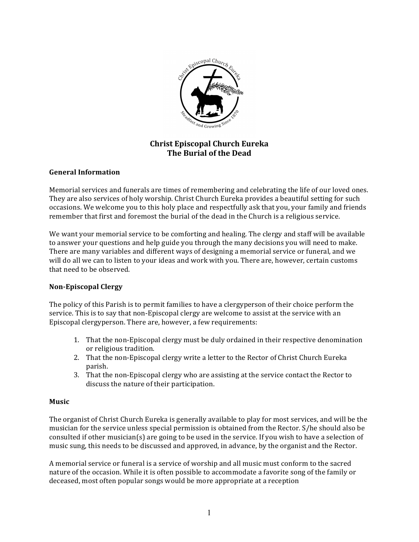

# **Christ Episcopal Church Eureka The Burial of the Dead**

# **General Information**

Memorial services and funerals are times of remembering and celebrating the life of our loved ones. They are also services of holy worship. Christ Church Eureka provides a beautiful setting for such occasions. We welcome you to this holy place and respectfully ask that you, your family and friends remember that first and foremost the burial of the dead in the Church is a religious service.

We want your memorial service to be comforting and healing. The clergy and staff will be available to answer your questions and help guide you through the many decisions you will need to make. There are many variables and different ways of designing a memorial service or funeral, and we will do all we can to listen to your ideas and work with you. There are, however, certain customs that need to be observed.

# **Non-Episcopal Clergy**

The policy of this Parish is to permit families to have a clergyperson of their choice perform the service. This is to say that non-Episcopal clergy are welcome to assist at the service with an Episcopal clergyperson. There are, however, a few requirements:

- 1. That the non-Episcopal clergy must be duly ordained in their respective denomination or religious tradition.
- 2. That the non-Episcopal clergy write a letter to the Rector of Christ Church Eureka parish.
- 3. That the non-Episcopal clergy who are assisting at the service contact the Rector to discuss the nature of their participation.

# **Music**

The organist of Christ Church Eureka is generally available to play for most services, and will be the musician for the service unless special permission is obtained from the Rector. S/he should also be consulted if other musician(s) are going to be used in the service. If you wish to have a selection of music sung, this needs to be discussed and approved, in advance, by the organist and the Rector.

A memorial service or funeral is a service of worship and all music must conform to the sacred nature of the occasion. While it is often possible to accommodate a favorite song of the family or deceased, most often popular songs would be more appropriate at a reception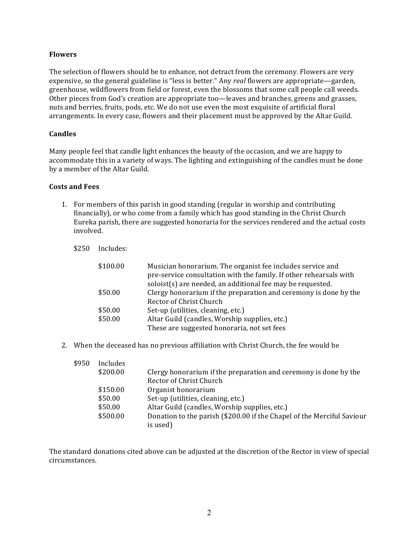# **Flowers**

The selection of flowers should be to enhance, not detract from the ceremony. Flowers are very expensive, so the general guideline is "less is better." Any *real* flowers are appropriate—garden, greenhouse, wildflowers from field or forest, even the blossoms that some call people call weeds. Other pieces from God's creation are appropriate too—leaves and branches, greens and grasses, nuts and berries, fruits, pods, etc. We do not use even the most exquisite of artificial floral arrangements. In every case, flowers and their placement must be approved by the Altar Guild.

# **Candles**

Many people feel that candle light enhances the beauty of the occasion, and we are happy to accommodate this in a variety of ways. The lighting and extinguishing of the candles must be done by a member of the Altar Guild.

# **Costs and Fees**

- 1. For members of this parish in good standing (regular in worship and contributing financially), or who come from a family which has good standing in the Christ Church Eureka parish, there are suggested honoraria for the services rendered and the actual costs involved.
	- \$250 Includes:

| \$100.00 | Musician honorarium. The organist fee includes service and<br>pre-service consultation with the family. If other rehearsals with |
|----------|----------------------------------------------------------------------------------------------------------------------------------|
|          | soloist(s) are needed, an additional fee may be requested.                                                                       |
| \$50.00  | Clergy honorarium if the preparation and ceremony is done by the                                                                 |
|          | Rector of Christ Church                                                                                                          |
| \$50.00  | Set-up (utilities, cleaning, etc.)                                                                                               |
| \$50.00  | Altar Guild (candles, Worship supplies, etc.)                                                                                    |
|          | These are suggested honoraria, not set fees                                                                                      |

2. When the deceased has no previous affiliation with Christ Church, the fee would be

| \$950 | Includes |                                                                        |
|-------|----------|------------------------------------------------------------------------|
|       | \$200.00 | Clergy honorarium if the preparation and ceremony is done by the       |
|       |          | Rector of Christ Church                                                |
|       | \$150.00 | Organist honorarium                                                    |
|       | \$50.00  | Set-up (utilities, cleaning, etc.)                                     |
|       | \$50.00  | Altar Guild (candles, Worship supplies, etc.)                          |
|       | \$500.00 | Donation to the parish (\$200.00 if the Chapel of the Merciful Saviour |
|       |          | is used)                                                               |

The standard donations cited above can be adjusted at the discretion of the Rector in view of special circumstances.